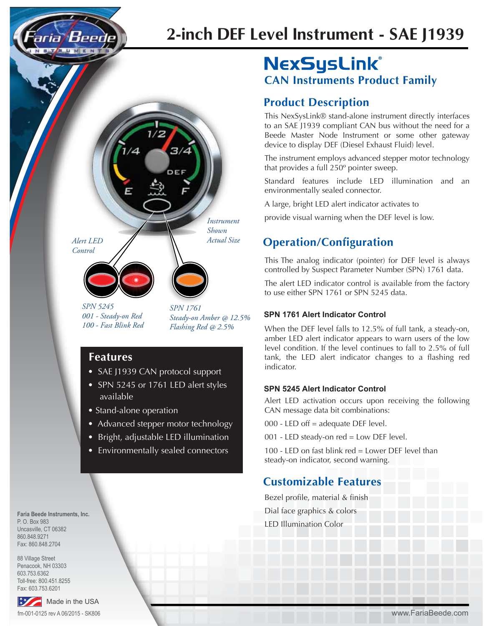# **2-inch DEF Level Instrument - SAE J1939**

*Alert LED Actual Size Control*

*SPN 5245 001 - Steady-on Red 100 - Fast Blink Red* *SPN 1761 Steady-on Amber @ 12.5% Flashing Red @ 2.5%*

*Instrument Shown*

### **Features**

• SAE J1939 CAN protocol support

 $1/2$ 

3/4

 $\Delta$ 

- SPN 5245 or 1761 LED alert styles available
- Stand-alone operation
- Advanced stepper motor technology
- Bright, adjustable LED illumination
- Environmentally sealed connectors

## **NexSysLink® CAN Instruments Product Family**

### **Product Description**

This NexSysLink® stand-alone instrument directly interfaces to an SAE J1939 compliant CAN bus without the need for a Beede Master Node Instrument or some other gateway device to display DEF (Diesel Exhaust Fluid) level.

The instrument employs advanced stepper motor technology that provides a full 250º pointer sweep.

Standard features include LED illumination and an environmentally sealed connector.

A large, bright LED alert indicator activates to

provide visual warning when the DEF level is low.

### **Operation/Configuration**

This The analog indicator (pointer) for DEF level is always controlled by Suspect Parameter Number (SPN) 1761 data.

The alert LED indicator control is available from the factory to use either SPN 1761 or SPN 5245 data.

#### **SPN 1761 Alert Indicator Control**

When the DEF level falls to 12.5% of full tank, a steady-on, amber LED alert indicator appears to warn users of the low level condition. If the level continues to fall to 2.5% of full tank, the LED alert indicator changes to a flashing red indicator.

### **SPN 5245 Alert Indicator Control**

Alert LED activation occurs upon receiving the following CAN message data bit combinations:

000 - LED off = adequate DEF level.

001 - LED steady-on red = Low DEF level.

100 - LED on fast blink red = Lower DEF level than steady-on indicator, second warning.

### **Customizable Features**

Bezel profile, material & finish Dial face graphics & colors LED Illumination Color

**Faria Beede Instruments, Inc.** P. O. Box 983 Uncasville, CT 06382 860.848.9271 Fax: 860.848.2704

88 Village Street Penacook, NH 03303 603.753.6362 Toll-free: 800.451.8255 Fax: 603.753.6201



www.FariaBeede.com